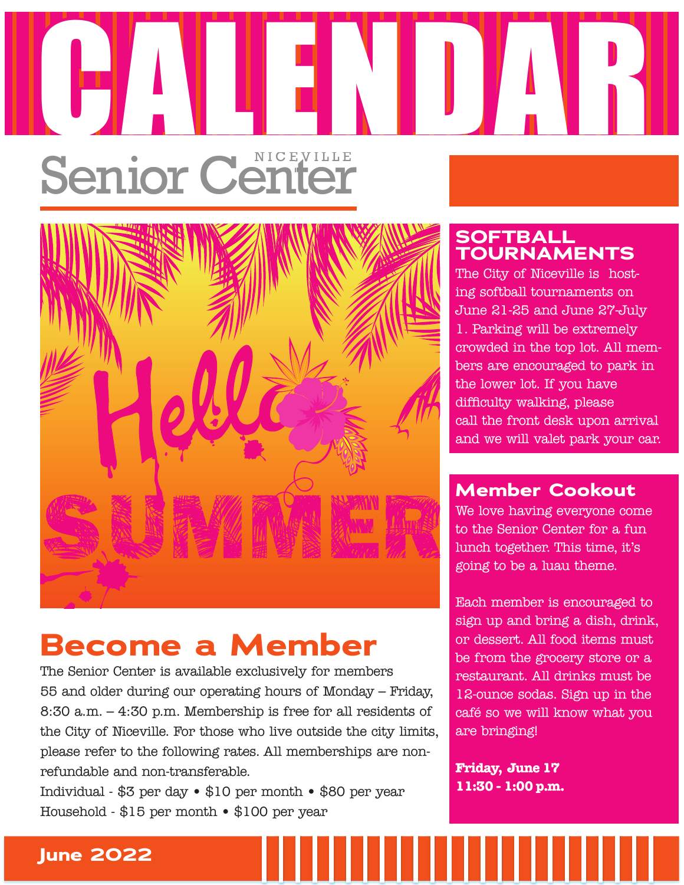# Senior Center CALENDAR CALENDAR CALENDAR CALENDAR CALENDAR CALENDAR CALENDAR CALENDAR CALENDAR CALENDAR CALENDAR CALENDAR CA



# **Become a Member**

The Senior Center is available exclusively for members 55 and older during our operating hours of Monday – Friday, 8:30 a.m. – 4:30 p.m. Membership is free for all residents of the City of Niceville. For those who live outside the city limits, please refer to the following rates. All memberships are nonrefundable and non-transferable.

Individual - \$3 per day • \$10 per month • \$80 per year Household - \$15 per month • \$100 per year

## **SOFTBALL TOURNAMENTS**

The City of Niceville is hosting softball tournaments on June 21-25 and June 27-July 1. Parking will be extremely crowded in the top lot. All members are encouraged to park in the lower lot. If you have difficulty walking, please call the front desk upon arrival and we will valet park your car.

## **Member Cookout**

We love having everyone come to the Senior Center for a fun lunch together. This time, it's going to be a luau theme.

Each member is encouraged to sign up and bring a dish, drink, or dessert. All food items must be from the grocery store or a restaurant. All drinks must be 12-ounce sodas. Sign up in the café so we will know what you are bringing!

**Friday, June 17 11:30 - 1:00 p.m.**

,,,,,,,,,,,,,,,

## **June 2022**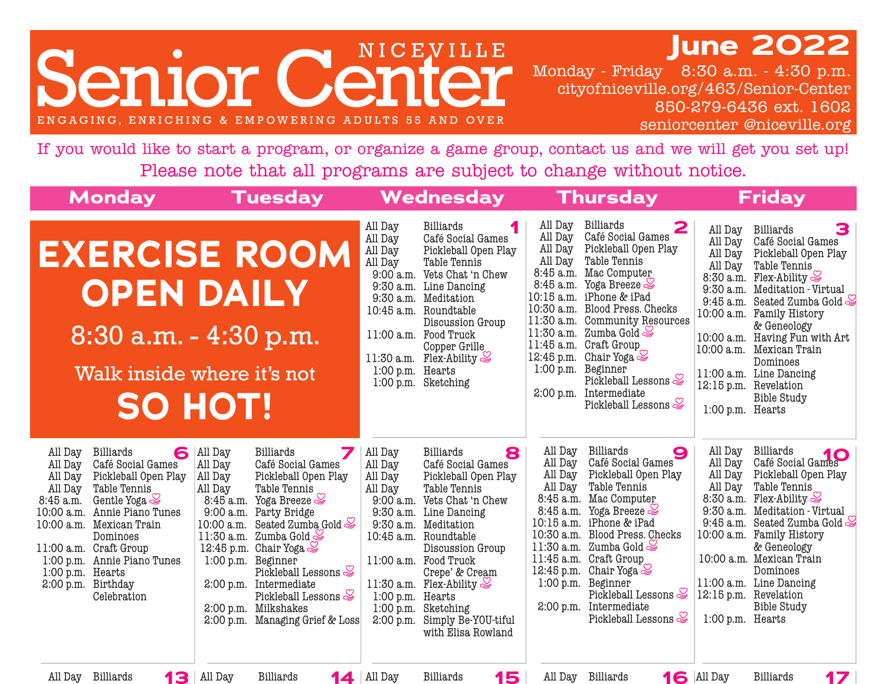# **June 2022**

enior Center ENGAGING, ENRICHING & EMPOWERING ADULTS 55 AND OVER

Monday - Friday 8:30 a.m. - 4:30 p.m. cityofniceville.org/463/Senior-Center 850-279-6436 ext. 1602seniorcenter @niceville.org

If you would like to start a program, or organize a game group, contact us and we will get you set up! Please note that all programs are subject to change without notice.

| <b>Monday</b>                                                                                                                                                                                                                                                                                                                                                                                 | <b>Tuesday</b>                                                                                                                                                                                                                                                                                                                                                                                                                                                                                                           |                                                                                                                    | Wednesday                                                                                                                                                                                                                                                                                                                                                                                      |                                                                                                                        | <b>Thursday</b>                                                                                                                                                                                                                                                                                                                                                                                                       |                                                                                   | <b>Friday</b>                                                                                                                                                                                                                                                                                                                                                                           |
|-----------------------------------------------------------------------------------------------------------------------------------------------------------------------------------------------------------------------------------------------------------------------------------------------------------------------------------------------------------------------------------------------|--------------------------------------------------------------------------------------------------------------------------------------------------------------------------------------------------------------------------------------------------------------------------------------------------------------------------------------------------------------------------------------------------------------------------------------------------------------------------------------------------------------------------|--------------------------------------------------------------------------------------------------------------------|------------------------------------------------------------------------------------------------------------------------------------------------------------------------------------------------------------------------------------------------------------------------------------------------------------------------------------------------------------------------------------------------|------------------------------------------------------------------------------------------------------------------------|-----------------------------------------------------------------------------------------------------------------------------------------------------------------------------------------------------------------------------------------------------------------------------------------------------------------------------------------------------------------------------------------------------------------------|-----------------------------------------------------------------------------------|-----------------------------------------------------------------------------------------------------------------------------------------------------------------------------------------------------------------------------------------------------------------------------------------------------------------------------------------------------------------------------------------|
| <b>EXERCISE ROOM</b>                                                                                                                                                                                                                                                                                                                                                                          | <b>OPEN DAILY</b><br>8:30 a.m. - 4:30 p.m.<br>Walk inside where it's not<br>SO HOT!                                                                                                                                                                                                                                                                                                                                                                                                                                      | All Day<br>All Day<br>All Day<br>All Day<br>10:45 a.m.<br>1:00 p.m. Hearts                                         | Billiards<br>Café Social Games<br>Pickleball Open Play<br><b>Table Tennis</b><br>9:00 a.m. Vets Chat 'n Chew<br>9:30 a.m. Line Dancing<br>9:30 a.m. Meditation<br>Roundtable<br>Discussion Group<br>11:00 a.m. Food Truck<br>Copper Grille<br>11:30 a.m. Flex-Ability $\leq$<br>1:00 p.m. Sketching                                                                                            | All Day<br>All Day<br>All Day<br>All Day<br>8:45 a.m.<br>8:45 a.m.<br>$10:15$ a.m.<br>10:30 a.m.<br>1:00 p.m. Beginner | <b>Billiards</b><br>2<br>Café Social Games<br>Pickleball Open Play<br>Table Tennis<br>Mac Computer<br>Yoga Breeze $\approx$<br>iPhone & iPad<br>Blood Press. Checks<br>11:30 a.m. Community Resources<br>$ 11:30$ a.m. Zumba Gold $\lessgtr$<br>$ 11:45$ a.m. Craft Group<br>12:45 p.m. Chair Yoga $\leq$<br>Pickleball Lessons $\mathcal{\mathcal{Q}}$<br>2:00 p.m. Intermediate<br>Pickleball Lessons $\mathcal Q$  | All Day<br>All Day<br>All Day<br>All Day<br>9:30 a.m.<br>1:00 p.m. Hearts         | 3<br>Billiards<br>Café Social Games<br>Pickleball Open Play<br>Table Tennis<br>8:30 a.m. Flex-Ability<br>Meditation - Virtual<br>9:45 a.m. Seated Zumba Gold<br>10:00 a.m. Family History<br>& Geneology<br>10:00 a.m. Having Fun with Art<br>10:00 a.m. Mexican Train<br>Dominoes<br>11:00 a.m. Line Dancing<br>12:15 p.m. Revelation<br><b>Bible Study</b>                            |
| All Day<br><b>Billiards</b><br>6<br>Café Social Games<br>All Day<br>Pickleball Open Play<br>All Day<br>All Day<br>Table Tennis<br>Gentle Yoga $\lessgtr$<br>8:45 a.m.<br>Annie Piano Tunes<br>10:00 a.m.<br>10:00 a.m. Mexican Train<br>Dominoes<br>11:00 a.m. Craft Group<br>1:00 p.m. Annie Piano Tunes<br>1:00 p.m. Hearts<br>2:00 p.m. Birthday<br>Celebration<br>All Day Billiards<br>13 | <b>Billiards</b><br>All Day<br>Café Social Games<br>All Day<br>Pickleball Open Play<br>All Day<br>Table Tennis<br>All Day<br>8:45 a.m. Yoga Breeze<br>9:00 a.m. Party Bridge<br>10:00 a.m. Seated Zumba Gold $\mathcal Q$<br>11:30 a.m. Zumba Gold<br>12:45 p.m. Chair Yoga $\leq$<br>1:00 p.m. Beginner<br>Pickleball Lessons $\mathcal{\mathcal{Q}}$<br>2:00 p.m. Intermediate<br>Pickleball Lessons $\mathcal{\mathcal{Q}}$<br>2:00 p.m. Milkshakes<br>2:00 p.m. Managing Grief & Loss<br>All Day<br><b>Billiards</b> | 7<br>All Day<br>All Day<br>All Day<br>All Day<br>$9:30$ a.m.<br>1:00 p.m. Hearts<br>2:00 p.m.<br><b>14</b> All Day | 8<br><b>Billiards</b><br>Café Social Games<br>Pickleball Open Play<br><b>Table Tennis</b><br>9:00 a.m. Vets Chat 'n Chew<br>9:30 a.m. Line Dancing<br>Meditation<br>10:45 a.m. Roundtable<br>Discussion Group<br>11:00 a.m. Food Truck<br>Crepe' & Cream<br>11:30 a.m. Flex-Ability $\mathcal Q$<br>1:00 p.m. Sketching<br>Simply Be-YOU-tiful<br>with Elisa Rowland<br><b>Billiards</b><br>15 | All Day<br>All Day<br>All Day<br>All Day                                                                               | <b>Billiards</b><br>9<br>Café Social Games<br>Pickleball Open Play<br>Table Tennis<br>8:45 a.m. Mac Computer<br>8:45 a.m. Yoga Breeze $\leq$<br>10:15 a.m. iPhone & iPad<br>10:30 a.m. Blood Press. Checks<br>11:30 a.m. Zumba Gold<br>11:45 a.m. Craft Group<br>12:45 p.m. Chair Yoga<br>1:00 p.m. Beginner<br>Pickleball Lessons<br>2:00 p.m. Intermediate<br>Pickleball Lessons $\mathcal{Q}$<br>All Day Billiards | All Day<br>All Day<br>All Day<br>All Day<br>1:00 p.m. Hearts<br><b>16</b> All Day | <b>Billiards</b><br>Billiards<br>Café Social Games<br>Pickleball Open Play<br>Table Tennis<br>8:30 a.m. Flex-Ability $\otimes$<br>9:30 a.m. Meditation - Virtual<br>9:45 a.m. Seated Zumba Gold<br>10:00 a.m. Family History<br>& Geneology<br>10:00 a.m. Mexican Train<br>Dominoes<br>11:00 a.m. Line Dancing<br>12:15 p.m. Revelation<br><b>Bible Study</b><br><b>Billiards</b><br>17 |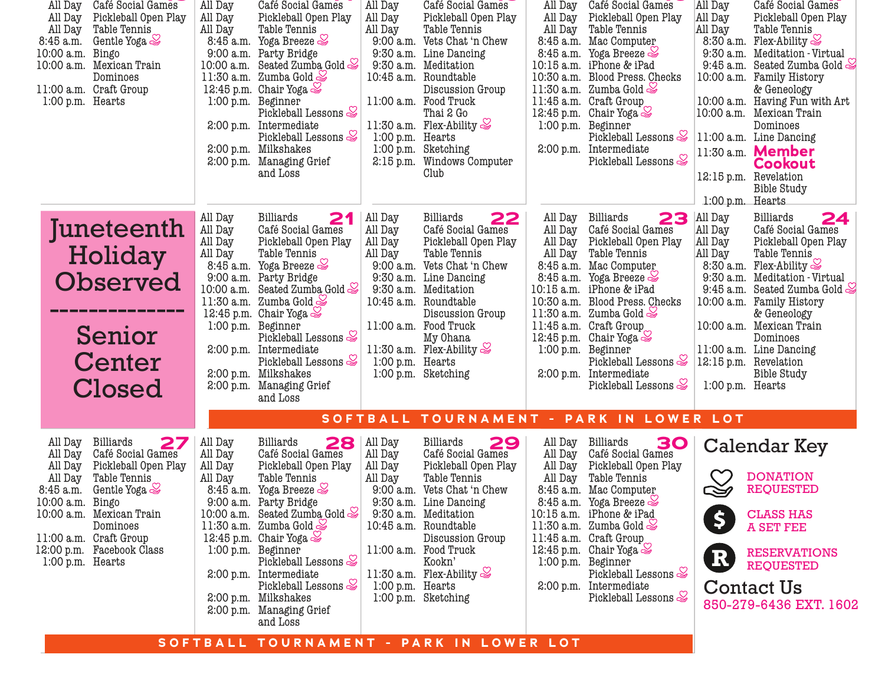| Café Social Games<br>All Day<br>Pickleball Open Play<br>All Day<br>Table Tennis<br>All Day<br>Gentle Yoga $\approx$<br>8:45 a.m.<br>10:00 a.m.<br>Bingo<br>10:00 a.m. Mexican Train<br>Dominoes<br>11:00 a.m. Craft Group<br>1:00 p.m. Hearts                                                   | Café Social Games<br>All Day<br>All Day<br>Pickleball Open Play<br>All Day<br>Table Tennis<br>8:45 a.m. Yoga Breeze<br>9:00 a.m. Party Bridge<br>10:00 a.m. Seated Zumba Gold<br>11:30 a.m. Zumba Gold<br>12:45 p.m. Chair Yoga $\leq$<br>1:00 p.m. Beginner<br>Pickleball Lessons $\mathcal Q$<br>2:00 p.m. Intermediate<br>Pickleball Lessons $\mathcal{S}$<br>2:00 p.m. Milkshakes<br>2:00 p.m. Managing Grief<br>and Loss                                                 | Café Social Games<br>All Day<br>All Day<br>Pickleball Open Play<br>All Day<br>Table Tennis<br>9:00 a.m. Vets Chat 'n Chew<br>9:30 a.m. Line Dancing<br>9:30 a.m. Meditation<br>10:45 a.m. Roundtable<br>Discussion Group<br>11:00 a.m. Food Truck<br>Thai 2 Go<br>11:30 a.m. Flex-Ability $\mathcal{S}$<br>1:00 p.m. Hearts<br>1:00 p.m. Sketching<br>2:15 p.m. Windows Computer<br>Club | Café Social Games<br>All Day<br>Pickleball Open Play<br>All Day<br>Table Tennis<br>All Day<br>8:45 a.m. Mac Computer<br>8:45 a.m. Yoga Breeze<br>10:15 a.m. iPhone & iPad<br>10:30 a.m. Blood Press. Checks<br>11:30 a.m. Zumba Gold<br>11:45 a.m. Craft Group<br>12:45 p.m. Chair Yoga<br>1:00 p.m. Beginner<br>Pickleball Lessons $\mathcal{S}$<br>2:00 p.m. Intermediate<br>Pickleball Lessons $\mathcal{\mathcal{Q}}$                                                                                                  | All Day<br>Café Social Games<br>All Day<br>Pickleball Open Play<br>All Day<br>Table Tennis<br>8:30 a.m. Flex-Ability $\mathcal Q$<br>9:30 a.m. Meditation - Virtual<br>9:45 a.m. Seated Zumba Gold<br>10:00 a.m. Family History<br>& Geneology<br>10:00 a.m. Having Fun with Art<br>10:00 a.m. Mexican Train<br>Dominoes<br>11:00 a.m. Line Dancing<br>11:30 a.m. Member<br><b>Cookout</b><br>12:15 p.m. Revelation<br><b>Bible Study</b><br>1:00 p.m. Hearts |
|-------------------------------------------------------------------------------------------------------------------------------------------------------------------------------------------------------------------------------------------------------------------------------------------------|-------------------------------------------------------------------------------------------------------------------------------------------------------------------------------------------------------------------------------------------------------------------------------------------------------------------------------------------------------------------------------------------------------------------------------------------------------------------------------|------------------------------------------------------------------------------------------------------------------------------------------------------------------------------------------------------------------------------------------------------------------------------------------------------------------------------------------------------------------------------------------|----------------------------------------------------------------------------------------------------------------------------------------------------------------------------------------------------------------------------------------------------------------------------------------------------------------------------------------------------------------------------------------------------------------------------------------------------------------------------------------------------------------------------|---------------------------------------------------------------------------------------------------------------------------------------------------------------------------------------------------------------------------------------------------------------------------------------------------------------------------------------------------------------------------------------------------------------------------------------------------------------|
| Juneteenth<br>Holiday<br>Observed<br>Senior<br>Center<br>Closed                                                                                                                                                                                                                                 | All Day<br><b>Billiards</b><br>21<br>All Day<br>Café Social Games<br>All Day<br>Pickleball Open Play<br>All Day<br>Table Tennis<br>Yoga Breeze<br>8:45 a.m.<br>9:00 a.m.<br>Party Bridge<br>Seated Zumba Gold<br>10:00 a.m.<br>11:30 a.m. Zumba Gold<br>12:45 p.m. Chair Yoga $\geq$<br>1:00 p.m.<br>Beginner<br>Pickleball Lessons<br>2:00 p.m. Intermediate<br>Pickleball Lessons $\mathcal Q$<br>2:00 p.m. Milkshakes<br>2:00 p.m. Managing Grief<br>and Loss              | All Day<br><b>Billiards</b><br>22<br>All Day<br>Café Social Games<br>Pickleball Open Play<br>All Day<br>All Day<br>Table Tennis<br>$9:00$ a.m.<br>Vets Chat 'n Chew<br>9:30 a.m.<br>Line Dancing<br>9:30 a.m. Meditation<br>10:45 a.m. Roundtable<br>Discussion Group<br>11:00 a.m. Food Truck<br>My Ohana<br>11:30 a.m. Flex-Ability $\leq$<br>1:00 p.m. Hearts<br>1:00 p.m. Sketching  | All Day<br><b>Billiards</b><br>23<br>All Day<br>Café Social Games<br>All Day Pickleball Open Play<br>Table Tennis<br>All Day<br>8:45 a.m. Mac Computer<br>8:45 a.m. Yoga Breeze $\leq$<br>10:15 a.m. iPhone & iPad<br>10:30 a.m. Blood Press. Checks<br>11:30 a.m. Zumba Gold $\mathcal Q$<br>11:45 a.m. Craft Group<br>12:45 p.m. Chair Yoga<br>1:00 p.m. Beginner<br>Pickleball Lessons $\mathcal{\mathcal{Q}}$<br>2:00 p.m. Intermediate<br>Pickleball Lessons $\mathcal{S}$<br>SOFTBALL TOURNAMENT - PARK IN LOWER LOT | All Day<br><b>Billiards</b><br>24<br>All Day<br>Café Social Games<br>All Day<br>Pickleball Open Play<br>All Day<br>Table Tennis<br>8:30 a.m. Flex-Ability<br>9:30 a.m. Meditation - Virtual<br>9:45 a.m. Seated Zumba Gold<br>10:00 a.m. Family History<br>& Geneology<br>10:00 a.m. Mexican Train<br>Dominoes<br>11:00 a.m. Line Dancing<br>12:15 p.m. Revelation<br><b>Bible Study</b><br>1:00 p.m. Hearts                                                  |
| <b>Billiards</b><br>27<br>All Day<br>Café Social Games<br>All Day<br>Pickleball Open Play<br>All Day<br>Table Tennis<br>All Day<br>8:45 a.m. Gentle Yoga<br>10:00 a.m. Bingo<br>10:00 a.m. Mexican Train<br>Dominoes<br>11:00 a.m. Craft Group<br>12:00 p.m. Facebook Class<br>1:00 p.m. Hearts | All Day<br>28<br><b>Billiards</b><br>All Day<br>Café Social Games<br>All Day<br>Pickleball Open Play<br>All Day<br>Table Tennis<br>8:45 a.m. Yoga Breeze<br>9:00 a.m. Party Bridge<br>10:00 a.m. Seated Zumba Gold<br>11:30 a.m. Zumba Gold<br>12:45 p.m. Chair Yoga $\leq$<br>1:00 p.m. Beginner<br>Pickleball Lessons $\mathcal{\mathcal{Q}}$<br>2:00 p.m. Intermediate<br>Pickleball Lessons $\mathcal{S}$<br>2:00 p.m. Milkshakes<br>2:00 p.m. Managing Grief<br>and Loss | All Day<br><b>Billiards</b><br>29<br>All Day<br>Café Social Games<br>All Day<br>Pickleball Open Play<br>All Day<br>Table Tennis<br>9:00 a.m. Vets Chat 'n Chew<br>9:30 a.m. Line Dancing<br>9:30 a.m. Meditation<br>10:45 a.m. Roundtable<br>Discussion Group<br>11:00 a.m. Food Truck<br>Kookn'<br>11:30 a.m. Flex-Ability $\leq$<br>1:00 p.m. Hearts<br>1:00 p.m. Sketching            | Billiards<br>30<br>All Day<br>All Day<br>Café Social Games<br>Pickleball Open Play<br>All Day<br>Table Tennis<br>All Day<br>8:45 a.m. Mac Computer<br>8:45 a.m. Yoga Breeze $\leq$<br>10:15 a.m. iPhone & iPad<br>11:30 a.m. Zumba Gold $\approx$<br>11:45 a.m. Craft Group<br>12:45 p.m. Chair Yoga<br>1:00 p.m. Beginner<br>Pickleball Lessons $\mathcal{S}$<br>2:00 p.m. Intermediate<br>Pickleball Lessons $\mathcal{S}$                                                                                               | Calendar Key<br><b>DONATION</b><br><b>REQUESTED</b><br>$\tilde{\simeq}$<br><b>CLASS HAS</b><br><b>A SET FEE</b><br><b>RESERVATIONS</b><br>R<br><b>REQUESTED</b><br><b>Contact Us</b><br>850-279-6436 EXT. 1602                                                                                                                                                                                                                                                |

**SOFTBALL TOURNAMENT - PARK IN LOWER LOT**